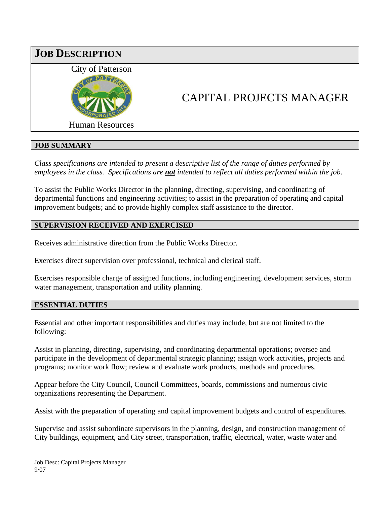

## **JOB SUMMARY**

*Class specifications are intended to present a descriptive list of the range of duties performed by employees in the class. Specifications are not intended to reflect all duties performed within the job.*

To assist the Public Works Director in the planning, directing, supervising, and coordinating of departmental functions and engineering activities; to assist in the preparation of operating and capital improvement budgets; and to provide highly complex staff assistance to the director.

## **SUPERVISION RECEIVED AND EXERCISED**

Receives administrative direction from the Public Works Director.

Exercises direct supervision over professional, technical and clerical staff.

Exercises responsible charge of assigned functions, including engineering, development services, storm water management, transportation and utility planning.

#### **ESSENTIAL DUTIES**

Essential and other important responsibilities and duties may include, but are not limited to the following:

Assist in planning, directing, supervising, and coordinating departmental operations; oversee and participate in the development of departmental strategic planning; assign work activities, projects and programs; monitor work flow; review and evaluate work products, methods and procedures.

Appear before the City Council, Council Committees, boards, commissions and numerous civic organizations representing the Department.

Assist with the preparation of operating and capital improvement budgets and control of expenditures.

Supervise and assist subordinate supervisors in the planning, design, and construction management of City buildings, equipment, and City street, transportation, traffic, electrical, water, waste water and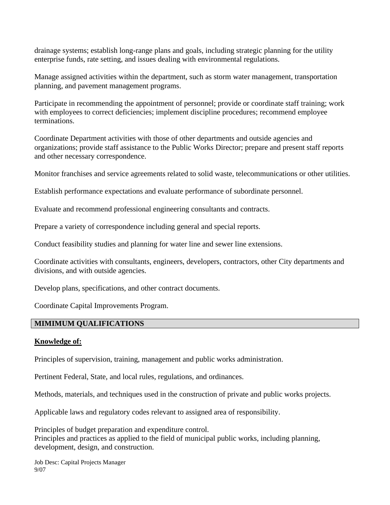drainage systems; establish long-range plans and goals, including strategic planning for the utility enterprise funds, rate setting, and issues dealing with environmental regulations.

Manage assigned activities within the department, such as storm water management, transportation planning, and pavement management programs.

Participate in recommending the appointment of personnel; provide or coordinate staff training; work with employees to correct deficiencies; implement discipline procedures; recommend employee terminations.

Coordinate Department activities with those of other departments and outside agencies and organizations; provide staff assistance to the Public Works Director; prepare and present staff reports and other necessary correspondence.

Monitor franchises and service agreements related to solid waste, telecommunications or other utilities.

Establish performance expectations and evaluate performance of subordinate personnel.

Evaluate and recommend professional engineering consultants and contracts.

Prepare a variety of correspondence including general and special reports.

Conduct feasibility studies and planning for water line and sewer line extensions.

Coordinate activities with consultants, engineers, developers, contractors, other City departments and divisions, and with outside agencies.

Develop plans, specifications, and other contract documents.

Coordinate Capital Improvements Program.

## **MIMIMUM QUALIFICATIONS**

## **Knowledge of:**

Principles of supervision, training, management and public works administration.

Pertinent Federal, State, and local rules, regulations, and ordinances.

Methods, materials, and techniques used in the construction of private and public works projects.

Applicable laws and regulatory codes relevant to assigned area of responsibility.

Principles of budget preparation and expenditure control. Principles and practices as applied to the field of municipal public works, including planning, development, design, and construction.

Job Desc: Capital Projects Manager 9/07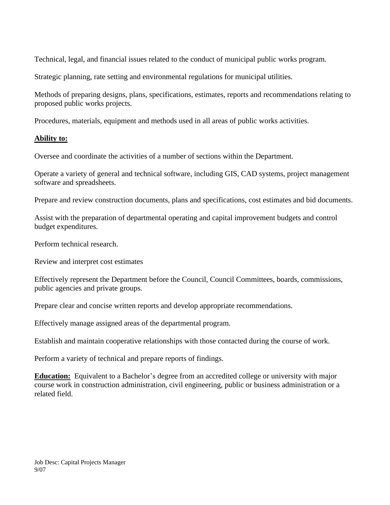Technical, legal, and financial issues related to the conduct of municipal public works program.

Strategic planning, rate setting and environmental regulations for municipal utilities.

Methods of preparing designs, plans, specifications, estimates, reports and recommendations relating to proposed public works projects.

Procedures, materials, equipment and methods used in all areas of public works activities.

### **Ability to:**

Oversee and coordinate the activities of a number of sections within the Department.

Operate a variety of general and technical software, including GIS, CAD systems, project management software and spreadsheets.

Prepare and review construction documents, plans and specifications, cost estimates and bid documents.

Assist with the preparation of departmental operating and capital improvement budgets and control budget expenditures.

Perform technical research.

Review and interpret cost estimates

Effectively represent the Department before the Council, Council Committees, boards, commissions, public agencies and private groups.

Prepare clear and concise written reports and develop appropriate recommendations.

Effectively manage assigned areas of the departmental program.

Establish and maintain cooperative relationships with those contacted during the course of work.

Perform a variety of technical and prepare reports of findings.

**Education:** Equivalent to a Bachelor's degree from an accredited college or university with major course work in construction administration, civil engineering, public or business administration or a related field.